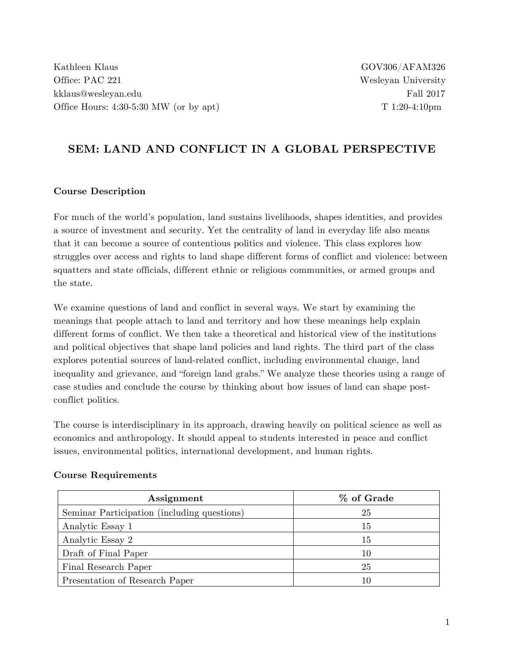Kathleen Klaus GOV306/AFAM326 Office: PAC 221 Wesleyan University kklaus@wesleyan.edu Fall 2017 Office Hours:  $4:30-5:30$  MW (or by apt) T  $1:20-4:10$ pm

# **SEM: LAND AND CONFLICT IN A GLOBAL PERSPECTIVE**

#### **Course Description**

For much of the world's population, land sustains livelihoods, shapes identities, and provides a source of investment and security. Yet the centrality of land in everyday life also means that it can become a source of contentious politics and violence. This class explores how struggles over access and rights to land shape different forms of conflict and violence: between squatters and state officials, different ethnic or religious communities, or armed groups and the state.

We examine questions of land and conflict in several ways. We start by examining the meanings that people attach to land and territory and how these meanings help explain different forms of conflict. We then take a theoretical and historical view of the institutions and political objectives that shape land policies and land rights. The third part of the class explores potential sources of land-related conflict, including environmental change, land inequality and grievance, and "foreign land grabs." We analyze these theories using a range of case studies and conclude the course by thinking about how issues of land can shape postconflict politics.

The course is interdisciplinary in its approach, drawing heavily on political science as well as economics and anthropology. It should appeal to students interested in peace and conflict issues, environmental politics, international development, and human rights.

| Assignment                                  | % of Grade |
|---------------------------------------------|------------|
| Seminar Participation (including questions) | 25         |
| Analytic Essay 1                            | 15         |
| Analytic Essay 2                            | 15         |
| Draft of Final Paper                        | 10         |
| Final Research Paper                        | 25         |
| Presentation of Research Paper              | 10         |

#### **Course Requirements**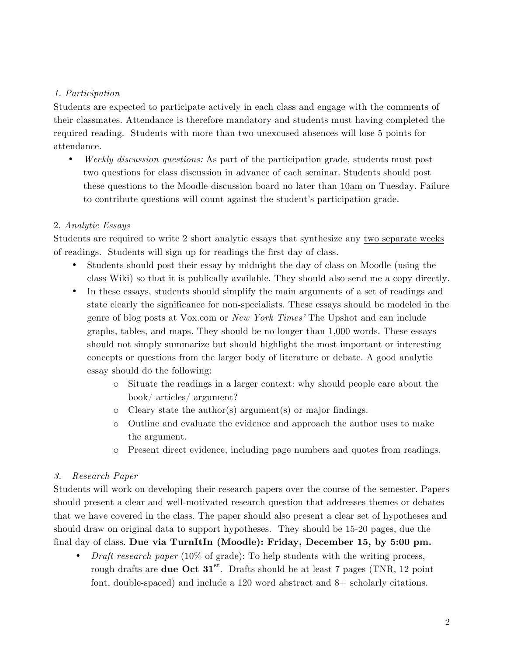#### *1. Participation*

Students are expected to participate actively in each class and engage with the comments of their classmates. Attendance is therefore mandatory and students must having completed the required reading. Students with more than two unexcused absences will lose 5 points for attendance.

• *Weekly discussion questions:* As part of the participation grade, students must post two questions for class discussion in advance of each seminar. Students should post these questions to the Moodle discussion board no later than 10am on Tuesday. Failure to contribute questions will count against the student's participation grade.

#### 2. *Analytic Essays*

Students are required to write 2 short analytic essays that synthesize any two separate weeks of readings. Students will sign up for readings the first day of class.

- Students should post their essay by midnight the day of class on Moodle (using the class Wiki) so that it is publically available. They should also send me a copy directly.
- In these essays, students should simplify the main arguments of a set of readings and state clearly the significance for non-specialists. These essays should be modeled in the genre of blog posts at Vox.com or *New York Times'* The Upshot and can include graphs, tables, and maps. They should be no longer than 1,000 words. These essays should not simply summarize but should highlight the most important or interesting concepts or questions from the larger body of literature or debate. A good analytic essay should do the following:
	- o Situate the readings in a larger context: why should people care about the book/ articles/ argument?
	- o Cleary state the author(s) argument(s) or major findings.
	- o Outline and evaluate the evidence and approach the author uses to make the argument.
	- o Present direct evidence, including page numbers and quotes from readings.

### *3. Research Paper*

Students will work on developing their research papers over the course of the semester. Papers should present a clear and well-motivated research question that addresses themes or debates that we have covered in the class. The paper should also present a clear set of hypotheses and should draw on original data to support hypotheses. They should be 15-20 pages, due the final day of class. **Due via TurnItIn (Moodle): Friday, December 15, by 5:00 pm.**

• *Draft research paper* (10% of grade): To help students with the writing process, rough drafts are **due Oct 31st**. Drafts should be at least 7 pages (TNR, 12 point font, double-spaced) and include a 120 word abstract and 8+ scholarly citations.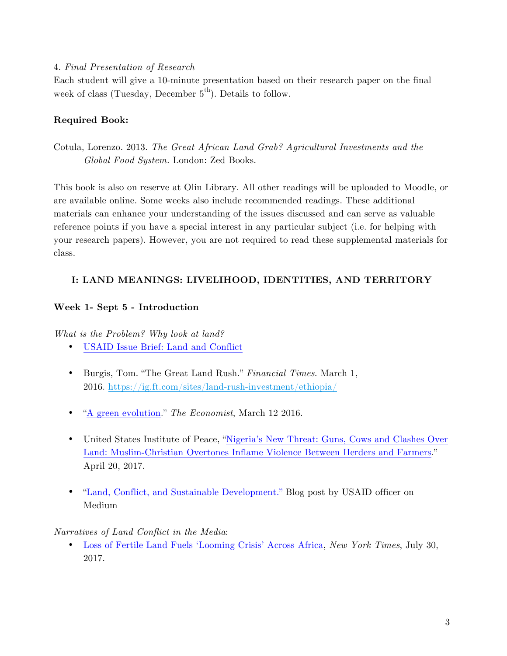#### 4. *Final Presentation of Research*

Each student will give a 10-minute presentation based on their research paper on the final week of class (Tuesday, December  $5^{th}$ ). Details to follow.

### **Required Book:**

Cotula, Lorenzo. 2013. *The Great African Land Grab? Agricultural Investments and the Global Food System.* London: Zed Books.

This book is also on reserve at Olin Library. All other readings will be uploaded to Moodle, or are available online. Some weeks also include recommended readings. These additional materials can enhance your understanding of the issues discussed and can serve as valuable reference points if you have a special interest in any particular subject (i.e. for helping with your research papers). However, you are not required to read these supplemental materials for class.

### **I: LAND MEANINGS: LIVELIHOOD, IDENTITIES, AND TERRITORY**

### **Week 1- Sept 5 - Introduction**

*What is the Problem? Why look at land?*

- USAID Issue Brief: Land and Conflict
- Burgis, Tom. "The Great Land Rush." *Financial Times*. March 1, 2016. https://ig.ft.com/sites/land-rush-investment/ethiopia/
- "A green evolution." *The Economist*, March 12 2016.
- United States Institute of Peace, "Nigeria's New Threat: Guns, Cows and Clashes Over Land: Muslim-Christian Overtones Inflame Violence Between Herders and Farmers." April 20, 2017.
- "Land, Conflict, and Sustainable Development." Blog post by USAID officer on Medium

*Narratives of Land Conflict in the Media*:

• Loss of Fertile Land Fuels 'Looming Crisis' Across Africa, *New York Times*, July 30, 2017.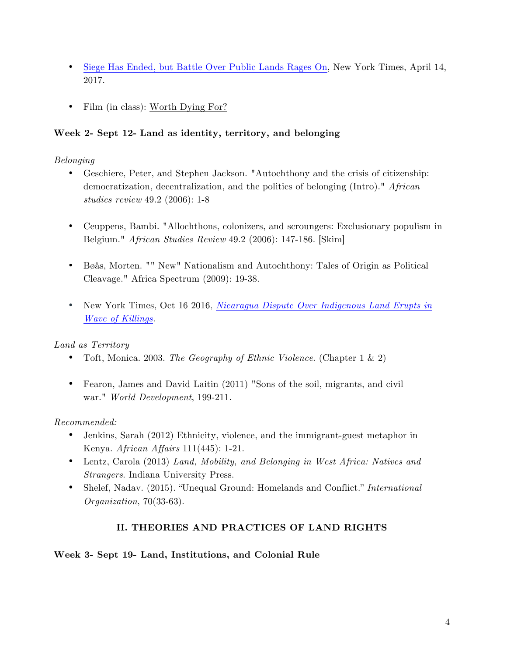- Siege Has Ended, but Battle Over Public Lands Rages On, New York Times, April 14, 2017.
- Film (in class): Worth Dying For?

### **Week 2- Sept 12- Land as identity, territory, and belonging**

### *Belonging*

- Geschiere, Peter, and Stephen Jackson. "Autochthony and the crisis of citizenship: democratization, decentralization, and the politics of belonging (Intro)." *African studies review* 49.2 (2006): 1-8
- Ceuppens, Bambi. "Allochthons, colonizers, and scroungers: Exclusionary populism in Belgium." *African Studies Review* 49.2 (2006): 147-186. [Skim]
- Bøås, Morten. "" New" Nationalism and Autochthony: Tales of Origin as Political Cleavage." Africa Spectrum (2009): 19-38.
- New York Times, Oct 16 2016, *Nicaragua Dispute Over Indigenous Land Erupts in Wave of Killings.*

## *Land as Territory*

- Toft, Monica. 2003. *The Geography of Ethnic Violence*. (Chapter 1 & 2)
- Fearon, James and David Laitin (2011) "Sons of the soil, migrants, and civil war." *World Development*, 199-211.

## *Recommended:*

- Jenkins, Sarah (2012) Ethnicity, violence, and the immigrant-guest metaphor in Kenya. *African Affairs* 111(445): 1-21.
- Lentz, Carola (2013) *Land, Mobility, and Belonging in West Africa: Natives and Strangers*. Indiana University Press.
- Shelef, Nadav. (2015). "Unequal Ground: Homelands and Conflict." *International Organization*, 70(33-63).

## **II. THEORIES AND PRACTICES OF LAND RIGHTS**

### **Week 3- Sept 19- Land, Institutions, and Colonial Rule**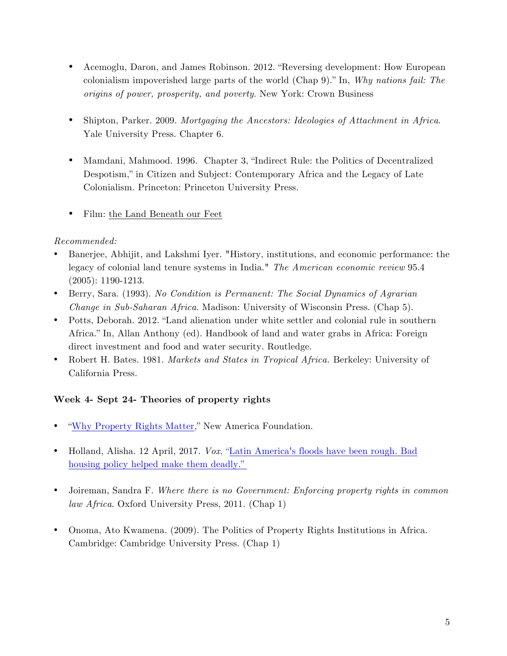- Acemoglu, Daron, and James Robinson. 2012. "Reversing development: How European colonialism impoverished large parts of the world (Chap 9)." In, *Why nations fail: The origins of power, prosperity, and poverty*. New York: Crown Business
- Shipton, Parker. 2009. *Mortgaging the Ancestors: Ideologies of Attachment in Africa*. Yale University Press. Chapter 6.
- Mamdani, Mahmood. 1996. Chapter 3, "Indirect Rule: the Politics of Decentralized Despotism," in Citizen and Subject: Contemporary Africa and the Legacy of Late Colonialism. Princeton: Princeton University Press.
- Film: the Land Beneath our Feet

### *Recommended:*

- Banerjee, Abhijit, and Lakshmi Iyer. "History, institutions, and economic performance: the legacy of colonial land tenure systems in India." *The American economic review* 95.4 (2005): 1190-1213.
- Berry, Sara. (1993). *No Condition is Permanent: The Social Dynamics of Agrarian Change in Sub-Saharan Africa*. Madison: University of Wisconsin Press. (Chap 5).
- Potts, Deborah. 2012. "Land alienation under white settler and colonial rule in southern Africa." In, Allan Anthony (ed). Handbook of land and water grabs in Africa: Foreign direct investment and food and water security. Routledge.
- Robert H. Bates. 1981. *Markets and States in Tropical Africa.* Berkeley: University of California Press.

## **Week 4- Sept 24- Theories of property rights**

- "Why Property Rights Matter," New America Foundation.
- Holland, Alisha. 12 April, 2017. *Vox*, "Latin America's floods have been rough. Bad housing policy helped make them deadly."
- Joireman, Sandra F. *Where there is no Government: Enforcing property rights in common law Africa*. Oxford University Press, 2011. (Chap 1)
- Onoma, Ato Kwamena. (2009). The Politics of Property Rights Institutions in Africa. Cambridge: Cambridge University Press. (Chap 1)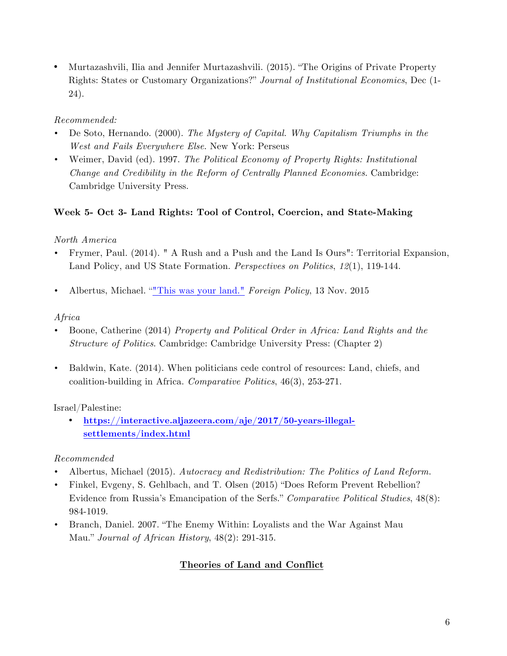• Murtazashvili, Ilia and Jennifer Murtazashvili. (2015). "The Origins of Private Property Rights: States or Customary Organizations?" *Journal of Institutional Economics*, Dec (1- 24).

### *Recommended:*

- De Soto, Hernando. (2000). *The Mystery of Capital. Why Capitalism Triumphs in the West and Fails Everywhere Else*. New York: Perseus
- Weimer, David (ed). 1997. *The Political Economy of Property Rights: Institutional Change and Credibility in the Reform of Centrally Planned Economies*. Cambridge: Cambridge University Press.

### **Week 5- Oct 3- Land Rights: Tool of Control, Coercion, and State-Making**

### *North America*

- Frymer, Paul. (2014). " A Rush and a Push and the Land Is Ours": Territorial Expansion, Land Policy, and US State Formation. *Perspectives on Politics*, *12*(1), 119-144.
- Albertus, Michael. ""This was your land." *Foreign Policy*, 13 Nov. 2015

### *Africa*

- Boone, Catherine (2014) *Property and Political Order in Africa: Land Rights and the Structure of Politics*. Cambridge: Cambridge University Press: (Chapter 2)
- Baldwin, Kate. (2014). When politicians cede control of resources: Land, chiefs, and coalition-building in Africa. *Comparative Politics*, 46(3), 253-271.

## Israel/Palestine:

• **https://interactive.aljazeera.com/aje/2017/50-years-illegalsettlements/index.html**

## *Recommended*

- Albertus, Michael (2015). *Autocracy and Redistribution: The Politics of Land Reform*.
- Finkel, Evgeny, S. Gehlbach, and T. Olsen (2015) "Does Reform Prevent Rebellion? Evidence from Russia's Emancipation of the Serfs." *Comparative Political Studies*, 48(8): 984-1019.
- Branch, Daniel. 2007. "The Enemy Within: Loyalists and the War Against Mau Mau." *Journal of African History*, 48(2): 291-315.

## **Theories of Land and Conflict**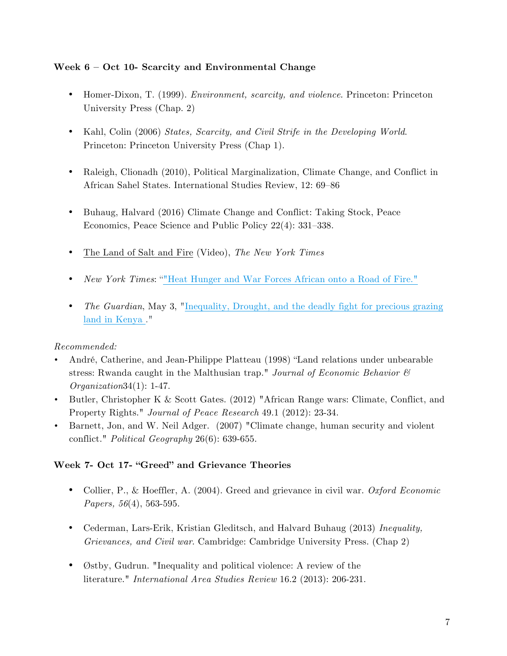#### **Week 6 – Oct 10- Scarcity and Environmental Change**

- Homer-Dixon, T. (1999). *Environment, scarcity, and violence*. Princeton: Princeton University Press (Chap. 2)
- Kahl, Colin (2006) *States, Scarcity, and Civil Strife in the Developing World*. Princeton: Princeton University Press (Chap 1).
- Raleigh, Clionadh (2010), Political Marginalization, Climate Change, and Conflict in African Sahel States. International Studies Review, 12: 69–86
- Buhaug, Halvard (2016) Climate Change and Conflict: Taking Stock, Peace Economics, Peace Science and Public Policy 22(4): 331–338.
- The Land of Salt and Fire (Video), *The New York Times*
- *New York Times*: ""Heat Hunger and War Forces African onto a Road of Fire."
- *The Guardian*, May 3, "Inequality, Drought, and the deadly fight for precious grazing land in Kenya ."

### *Recommended:*

- André, Catherine, and Jean-Philippe Platteau (1998) "Land relations under unbearable stress: Rwanda caught in the Malthusian trap." *Journal of Economic Behavior & Organization*34(1): 1-47.
- Butler, Christopher K & Scott Gates. (2012) "African Range wars: Climate, Conflict, and Property Rights." *Journal of Peace Research* 49.1 (2012): 23-34.
- Barnett, Jon, and W. Neil Adger. (2007) "Climate change, human security and violent conflict." *Political Geography* 26(6): 639-655.

### **Week 7- Oct 17- "Greed" and Grievance Theories**

- Collier, P., & Hoeffler, A. (2004). Greed and grievance in civil war. *Oxford Economic Papers, 56*(4), 563-595.
- Cederman, Lars-Erik, Kristian Gleditsch, and Halvard Buhaug (2013) *Inequality, Grievances, and Civil war*. Cambridge: Cambridge University Press. (Chap 2)
- Østby, Gudrun. "Inequality and political violence: A review of the literature." *International Area Studies Review* 16.2 (2013): 206-231.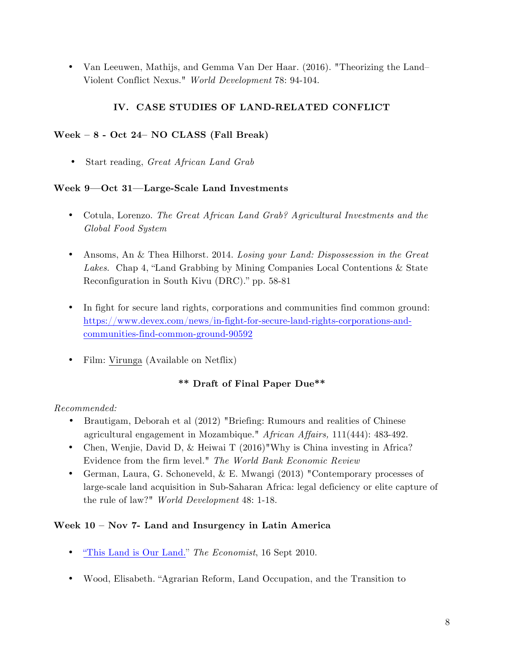• Van Leeuwen, Mathijs, and Gemma Van Der Haar. (2016). "Theorizing the Land– Violent Conflict Nexus." *World Development* 78: 94-104.

## **IV. CASE STUDIES OF LAND-RELATED CONFLICT**

#### **Week – 8 - Oct 24– NO CLASS (Fall Break)**

• Start reading, *Great African Land Grab*

#### **Week 9—Oct 31—Large-Scale Land Investments**

- Cotula, Lorenzo. *The Great African Land Grab? Agricultural Investments and the Global Food System*
- Ansoms, An & Thea Hilhorst. 2014. *Losing your Land: Dispossession in the Great Lakes*. Chap 4, "Land Grabbing by Mining Companies Local Contentions & State Reconfiguration in South Kivu (DRC)." pp. 58-81
- In fight for secure land rights, corporations and communities find common ground: https://www.devex.com/news/in-fight-for-secure-land-rights-corporations-andcommunities-find-common-ground-90592
- Film: Virunga (Available on Netflix)

### **\*\* Draft of Final Paper Due\*\***

### *Recommended:*

- Brautigam, Deborah et al (2012) "Briefing: Rumours and realities of Chinese agricultural engagement in Mozambique." *African Affairs,* 111(444): 483-492.
- Chen, Wenjie, David D, & Heiwai T (2016)"Why is China investing in Africa? Evidence from the firm level." *The World Bank Economic Review*
- German, Laura, G. Schoneveld, & E. Mwangi (2013) "Contemporary processes of large-scale land acquisition in Sub-Saharan Africa: legal deficiency or elite capture of the rule of law?" *World Development* 48: 1-18.

### **Week 10 – Nov 7- Land and Insurgency in Latin America**

- "This Land is Our Land." *The Economist*, 16 Sept 2010.
- Wood, Elisabeth. "Agrarian Reform, Land Occupation, and the Transition to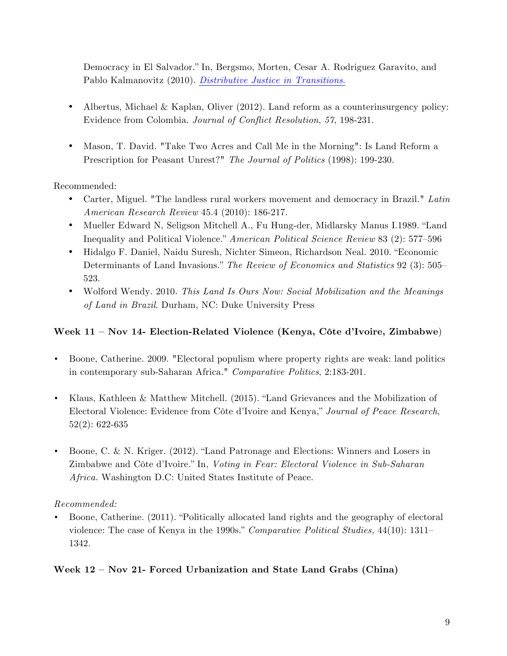Democracy in El Salvador." In, Bergsmo, Morten, Cesar A. Rodriguez Garavito, and Pablo Kalmanovitz (2010). *Distributive Justice in Transitions*.

- Albertus, Michael & Kaplan, Oliver  $(2012)$ . Land reform as a counterinsurgency policy: Evidence from Colombia. *Journal of Conflict Resolution*, *57*, 198-231.
- Mason, T. David. "Take Two Acres and Call Me in the Morning": Is Land Reform a Prescription for Peasant Unrest?" *The Journal of Politics* (1998): 199-230.

Recommended:

- Carter, Miguel. "The landless rural workers movement and democracy in Brazil." *Latin American Research Review* 45.4 (2010): 186-217.
- Mueller Edward N, Seligson Mitchell A., Fu Hung-der, Midlarsky Manus I.1989. "Land Inequality and Political Violence." *American Political Science Review* 83 (2): 577–596
- Hidalgo F. Daniel, Naidu Suresh, Nichter Simeon, Richardson Neal. 2010. "Economic Determinants of Land Invasions." *The Review of Economics and Statistics* 92 (3): 505– 523.
- Wolford Wendy. 2010. *This Land Is Ours Now: Social Mobilization and the Meanings of Land in Brazil*. Durham, NC: Duke University Press

### **Week 11 – Nov 14- Election-Related Violence (Kenya, Côte d'Ivoire, Zimbabwe**)

- Boone, Catherine. 2009. "Electoral populism where property rights are weak: land politics in contemporary sub-Saharan Africa." *Comparative Politics*, 2:183-201.
- Klaus, Kathleen & Matthew Mitchell. (2015). "Land Grievances and the Mobilization of Electoral Violence: Evidence from Côte d'Ivoire and Kenya," *Journal of Peace Research*, 52(2): 622-635
- Boone, C. & N. Kriger. (2012). "Land Patronage and Elections: Winners and Losers in Zimbabwe and Côte d'Ivoire." In, *Voting in Fear: Electoral Violence in Sub-Saharan Africa.* Washington D.C: United States Institute of Peace.

#### *Recommended:*

• Boone, Catherine. (2011). "Politically allocated land rights and the geography of electoral violence: The case of Kenya in the 1990s." *Comparative Political Studies,* 44(10): 1311– 1342.

### **Week 12 – Nov 21- Forced Urbanization and State Land Grabs (China)**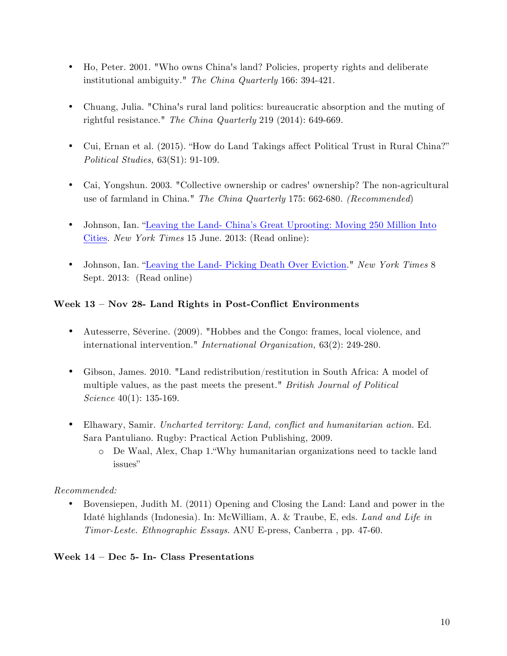- Ho, Peter. 2001. "Who owns China's land? Policies, property rights and deliberate institutional ambiguity." *The China Quarterly* 166: 394-421.
- Chuang, Julia. "China's rural land politics: bureaucratic absorption and the muting of rightful resistance." *The China Quarterly* 219 (2014): 649-669.
- Cui, Ernan et al. (2015). "How do Land Takings affect Political Trust in Rural China?" *Political Studies,* 63(S1): 91-109.
- Cai, Yongshun. 2003. "Collective ownership or cadres' ownership? The non-agricultural use of farmland in China." *The China Quarterly* 175: 662-680. *(Recommended*)
- Johnson, Ian. "Leaving the Land- China's Great Uprooting: Moving 250 Million Into Cities. *New York Times* 15 June. 2013: (Read online):
- Johnson, Ian. "Leaving the Land- Picking Death Over Eviction." *New York Times* 8 Sept. 2013: (Read online)

### **Week 13 – Nov 28- Land Rights in Post-Conflict Environments**

- Autesserre, Séverine. (2009). "Hobbes and the Congo: frames, local violence, and international intervention." *International Organization,* 63(2): 249-280.
- Gibson, James. 2010. "Land redistribution/restitution in South Africa: A model of multiple values, as the past meets the present." *British Journal of Political Science* 40(1): 135-169.
- Elhawary, Samir. *Uncharted territory: Land, conflict and humanitarian action*. Ed. Sara Pantuliano. Rugby: Practical Action Publishing, 2009.
	- o De Waal, Alex, Chap 1."Why humanitarian organizations need to tackle land issues"

### *Recommended:*

• Bovensiepen, Judith M. (2011) Opening and Closing the Land: Land and power in the Idaté highlands (Indonesia). In: McWilliam, A. & Traube, E, eds. *Land and Life in Timor-Leste. Ethnographic Essays*. ANU E-press, Canberra , pp. 47-60.

### **Week 14 – Dec 5- In- Class Presentations**